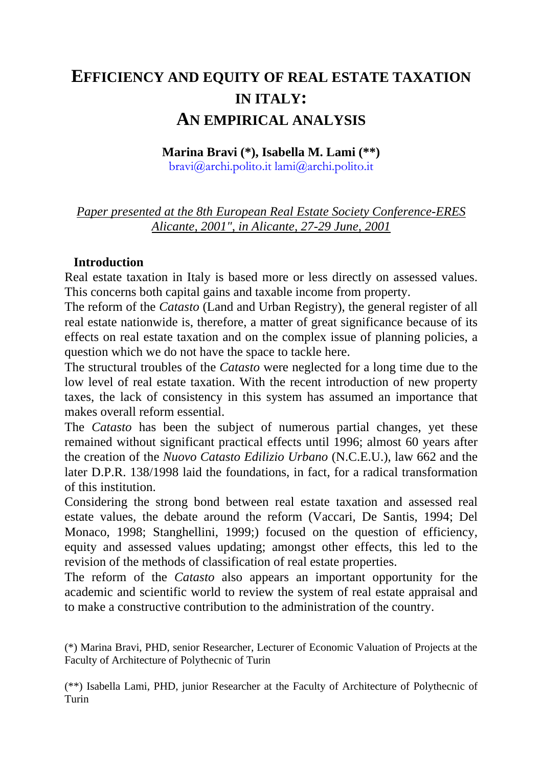# **EFFICIENCY AND EQUITY OF REAL ESTATE TAXATION IN ITALY: AN EMPIRICAL ANALYSIS**

#### **Marina Bravi (\*), Isabella M. Lami (\*\*)**

bravi@archi.polito.it lami@archi.polito.it

*Paper presented at the 8th European Real Estate Society Conference-ERES Alicante, 2001", in Alicante, 27-29 June, 2001*

### **Introduction**

Real estate taxation in Italy is based more or less directly on assessed values. This concerns both capital gains and taxable income from property.

The reform of the *Catasto* (Land and Urban Registry), the general register of all real estate nationwide is, therefore, a matter of great significance because of its effects on real estate taxation and on the complex issue of planning policies, a question which we do not have the space to tackle here.

The structural troubles of the *Catasto* were neglected for a long time due to the low level of real estate taxation. With the recent introduction of new property taxes, the lack of consistency in this system has assumed an importance that makes overall reform essential.

The *Catasto* has been the subject of numerous partial changes, yet these remained without significant practical effects until 1996; almost 60 years after the creation of the *Nuovo Catasto Edilizio Urbano* (N.C.E.U.), law 662 and the later D.P.R. 138/1998 laid the foundations, in fact, for a radical transformation of this institution.

Considering the strong bond between real estate taxation and assessed real estate values, the debate around the reform (Vaccari, De Santis, 1994; Del Monaco, 1998; Stanghellini, 1999;) focused on the question of efficiency, equity and assessed values updating; amongst other effects, this led to the revision of the methods of classification of real estate properties.

The reform of the *Catasto* also appears an important opportunity for the academic and scientific world to review the system of real estate appraisal and to make a constructive contribution to the administration of the country.

(\*\*) Isabella Lami, PHD, junior Researcher at the Faculty of Architecture of Polythecnic of Turin

<sup>(\*)</sup> Marina Bravi, PHD, senior Researcher, Lecturer of Economic Valuation of Projects at the Faculty of Architecture of Polythecnic of Turin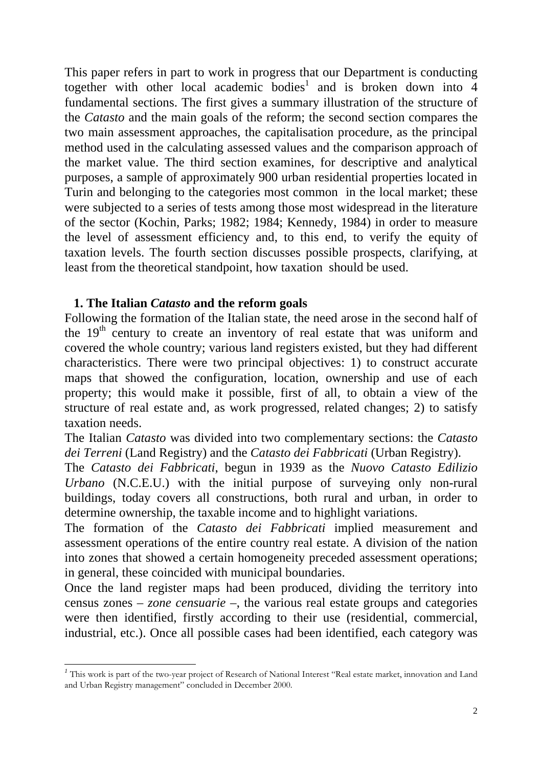This paper refers in part to work in progress that our Department is conducting together with other local academic bodies<sup>1</sup> and is broken down into  $\overline{4}$ fundamental sections. The first gives a summary illustration of the structure of the *Catasto* and the main goals of the reform; the second section compares the two main assessment approaches, the capitalisation procedure, as the principal method used in the calculating assessed values and the comparison approach of the market value. The third section examines, for descriptive and analytical purposes, a sample of approximately 900 urban residential properties located in Turin and belonging to the categories most common in the local market; these were subjected to a series of tests among those most widespread in the literature of the sector (Kochin, Parks; 1982; 1984; Kennedy, 1984) in order to measure the level of assessment efficiency and, to this end, to verify the equity of taxation levels. The fourth section discusses possible prospects, clarifying, at least from the theoretical standpoint, how taxation should be used.

### **1. The Italian** *Catasto* **and the reform goals**

 $\overline{a}$ 

Following the formation of the Italian state, the need arose in the second half of the 19<sup>th</sup> century to create an inventory of real estate that was uniform and covered the whole country; various land registers existed, but they had different characteristics. There were two principal objectives: 1) to construct accurate maps that showed the configuration, location, ownership and use of each property; this would make it possible, first of all, to obtain a view of the structure of real estate and, as work progressed, related changes; 2) to satisfy taxation needs.

The Italian *Catasto* was divided into two complementary sections: the *Catasto dei Terreni* (Land Registry) and the *Catasto dei Fabbricati* (Urban Registry).

The *Catasto dei Fabbricati*, begun in 1939 as the *Nuovo Catasto Edilizio Urbano* (N.C.E.U.) with the initial purpose of surveying only non-rural buildings, today covers all constructions, both rural and urban, in order to determine ownership, the taxable income and to highlight variations.

The formation of the *Catasto dei Fabbricati* implied measurement and assessment operations of the entire country real estate. A division of the nation into zones that showed a certain homogeneity preceded assessment operations; in general, these coincided with municipal boundaries.

Once the land register maps had been produced, dividing the territory into census zones – *zone censuarie* –, the various real estate groups and categories were then identified, firstly according to their use (residential, commercial, industrial, etc.). Once all possible cases had been identified, each category was

<sup>&</sup>lt;sup>1</sup> This work is part of the two-year project of Research of National Interest "Real estate market, innovation and Land and Urban Registry management" concluded in December 2000.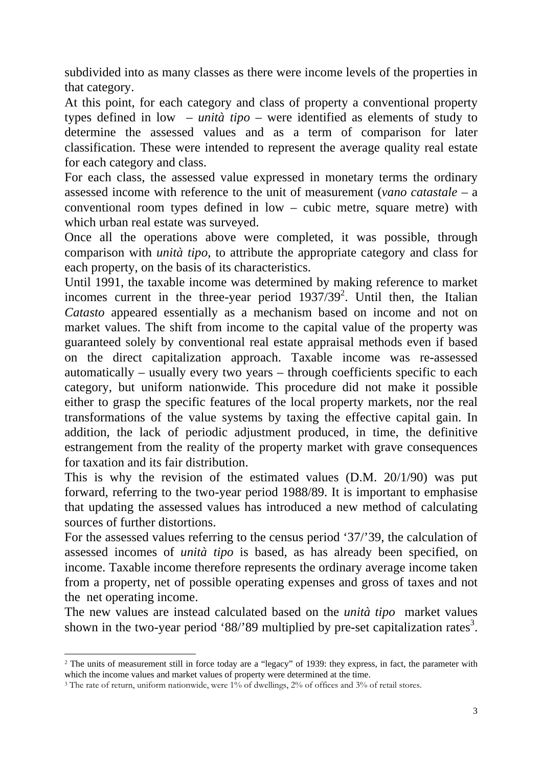subdivided into as many classes as there were income levels of the properties in that category.

At this point, for each category and class of property a conventional property types defined in low – *unità tipo* – were identified as elements of study to determine the assessed values and as a term of comparison for later classification. These were intended to represent the average quality real estate for each category and class.

For each class, the assessed value expressed in monetary terms the ordinary assessed income with reference to the unit of measurement (*vano catastale* – a conventional room types defined in low – cubic metre, square metre) with which urban real estate was surveyed.

Once all the operations above were completed, it was possible, through comparison with *unità tipo*, to attribute the appropriate category and class for each property, on the basis of its characteristics.

Until 1991, the taxable income was determined by making reference to market incomes current in the three-year period  $1937/39^2$ . Until then, the Italian *Catasto* appeared essentially as a mechanism based on income and not on market values. The shift from income to the capital value of the property was guaranteed solely by conventional real estate appraisal methods even if based on the direct capitalization approach. Taxable income was re-assessed automatically – usually every two years – through coefficients specific to each category, but uniform nationwide. This procedure did not make it possible either to grasp the specific features of the local property markets, nor the real transformations of the value systems by taxing the effective capital gain. In addition, the lack of periodic adjustment produced, in time, the definitive estrangement from the reality of the property market with grave consequences for taxation and its fair distribution.

This is why the revision of the estimated values (D.M. 20/1/90) was put forward, referring to the two-year period 1988/89. It is important to emphasise that updating the assessed values has introduced a new method of calculating sources of further distortions.

For the assessed values referring to the census period '37/'39, the calculation of assessed incomes of *unità tipo* is based, as has already been specified, on income. Taxable income therefore represents the ordinary average income taken from a property, net of possible operating expenses and gross of taxes and not the net operating income.

The new values are instead calculated based on the *unità tipo* market values shown in the two-year period '88/'89 multiplied by pre-set capitalization rates<sup>3</sup>.

 $\overline{a}$ 

<sup>2</sup> The units of measurement still in force today are a "legacy" of 1939: they express, in fact, the parameter with which the income values and market values of property were determined at the time.

<sup>&</sup>lt;sup>3</sup> The rate of return, uniform nationwide, were 1% of dwellings, 2% of offices and 3% of retail stores.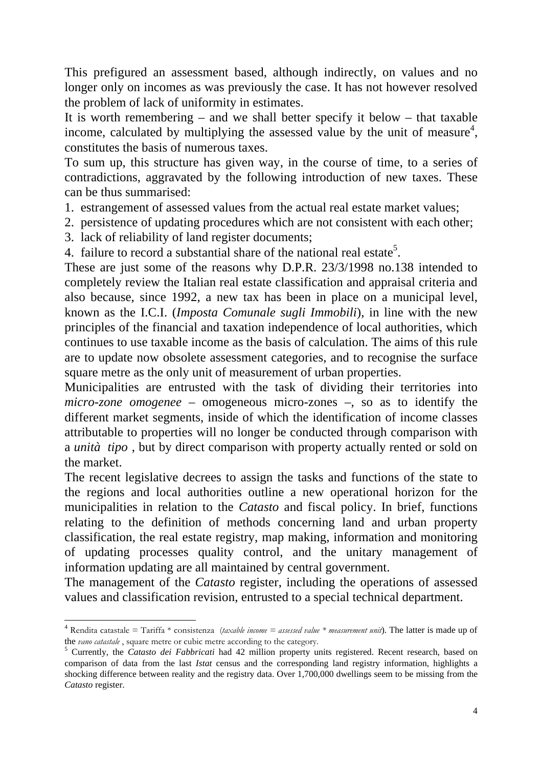This prefigured an assessment based, although indirectly, on values and no longer only on incomes as was previously the case. It has not however resolved the problem of lack of uniformity in estimates.

It is worth remembering – and we shall better specify it below – that taxable income, calculated by multiplying the assessed value by the unit of measure<sup>4</sup>, constitutes the basis of numerous taxes.

To sum up, this structure has given way, in the course of time, to a series of contradictions, aggravated by the following introduction of new taxes. These can be thus summarised:

- 1. estrangement of assessed values from the actual real estate market values;
- 2. persistence of updating procedures which are not consistent with each other;
- 3. lack of reliability of land register documents;

 $\overline{a}$ 

4. failure to record a substantial share of the national real estate<sup>5</sup>.

These are just some of the reasons why D.P.R. 23/3/1998 no.138 intended to completely review the Italian real estate classification and appraisal criteria and also because, since 1992, a new tax has been in place on a municipal level, known as the I.C.I. (*Imposta Comunale sugli Immobili*), in line with the new principles of the financial and taxation independence of local authorities, which continues to use taxable income as the basis of calculation. The aims of this rule are to update now obsolete assessment categories, and to recognise the surface square metre as the only unit of measurement of urban properties.

Municipalities are entrusted with the task of dividing their territories into *micro-zone omogenee –* omogeneous micro-zones *–*, so as to identify the different market segments, inside of which the identification of income classes attributable to properties will no longer be conducted through comparison with a *unità tipo* , but by direct comparison with property actually rented or sold on the market.

The recent legislative decrees to assign the tasks and functions of the state to the regions and local authorities outline a new operational horizon for the municipalities in relation to the *Catasto* and fiscal policy. In brief, functions relating to the definition of methods concerning land and urban property classification, the real estate registry, map making, information and monitoring of updating processes quality control, and the unitary management of information updating are all maintained by central government.

The management of the *Catasto* register, including the operations of assessed values and classification revision, entrusted to a special technical department.

<sup>4</sup> Rendita catastale = Tariffa \* consistenza (*taxable income = assessed value \* measurement unit*). The latter is made up of the *vano catastale* , square metre or cubic metre according to the category.

<sup>5</sup> Currently, the *Catasto dei Fabbricati* had 42 million property units registered. Recent research, based on comparison of data from the last *Istat* census and the corresponding land registry information, highlights a shocking difference between reality and the registry data. Over 1,700,000 dwellings seem to be missing from the *Catasto* register.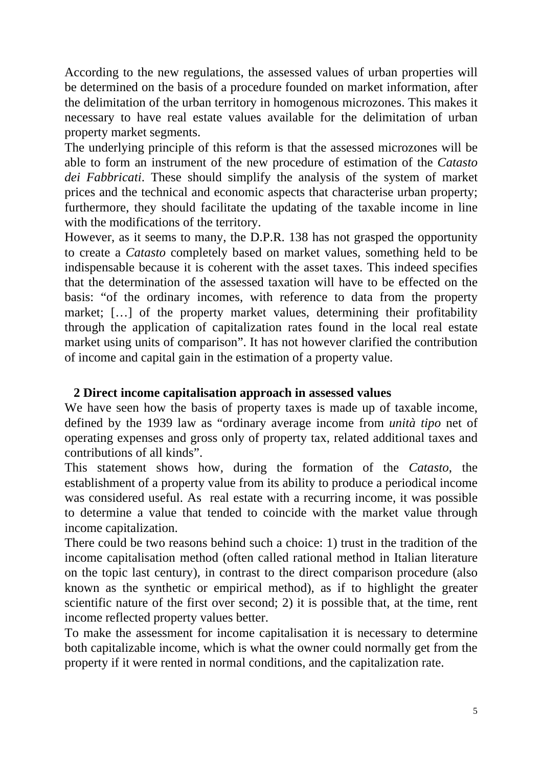According to the new regulations, the assessed values of urban properties will be determined on the basis of a procedure founded on market information, after the delimitation of the urban territory in homogenous microzones. This makes it necessary to have real estate values available for the delimitation of urban property market segments.

The underlying principle of this reform is that the assessed microzones will be able to form an instrument of the new procedure of estimation of the *Catasto dei Fabbricati*. These should simplify the analysis of the system of market prices and the technical and economic aspects that characterise urban property; furthermore, they should facilitate the updating of the taxable income in line with the modifications of the territory.

However, as it seems to many, the D.P.R. 138 has not grasped the opportunity to create a *Catasto* completely based on market values, something held to be indispensable because it is coherent with the asset taxes. This indeed specifies that the determination of the assessed taxation will have to be effected on the basis: "of the ordinary incomes, with reference to data from the property market; […] of the property market values, determining their profitability through the application of capitalization rates found in the local real estate market using units of comparison". It has not however clarified the contribution of income and capital gain in the estimation of a property value.

## **2 Direct income capitalisation approach in assessed values**

We have seen how the basis of property taxes is made up of taxable income, defined by the 1939 law as "ordinary average income from *unità tipo* net of operating expenses and gross only of property tax, related additional taxes and contributions of all kinds".

This statement shows how, during the formation of the *Catasto*, the establishment of a property value from its ability to produce a periodical income was considered useful. As real estate with a recurring income, it was possible to determine a value that tended to coincide with the market value through income capitalization.

There could be two reasons behind such a choice: 1) trust in the tradition of the income capitalisation method (often called rational method in Italian literature on the topic last century), in contrast to the direct comparison procedure (also known as the synthetic or empirical method), as if to highlight the greater scientific nature of the first over second; 2) it is possible that, at the time, rent income reflected property values better.

To make the assessment for income capitalisation it is necessary to determine both capitalizable income, which is what the owner could normally get from the property if it were rented in normal conditions, and the capitalization rate.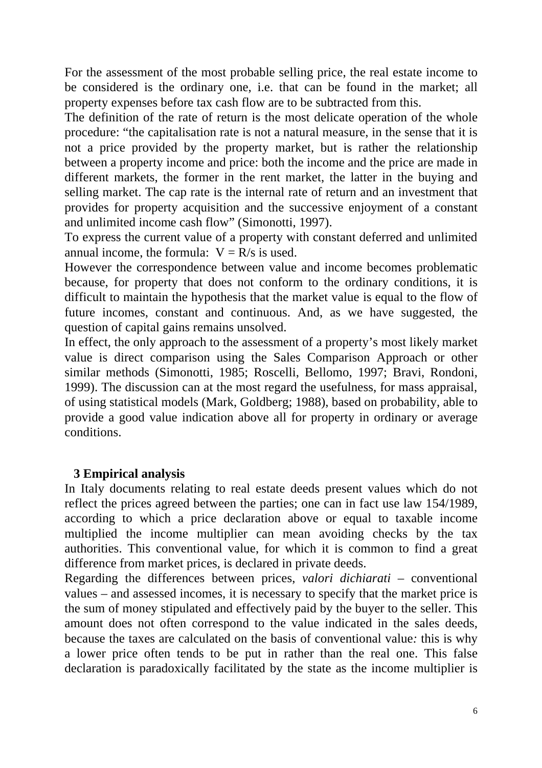For the assessment of the most probable selling price, the real estate income to be considered is the ordinary one, i.e. that can be found in the market; all property expenses before tax cash flow are to be subtracted from this.

The definition of the rate of return is the most delicate operation of the whole procedure: "the capitalisation rate is not a natural measure, in the sense that it is not a price provided by the property market, but is rather the relationship between a property income and price: both the income and the price are made in different markets, the former in the rent market, the latter in the buying and selling market. The cap rate is the internal rate of return and an investment that provides for property acquisition and the successive enjoyment of a constant and unlimited income cash flow" (Simonotti, 1997).

To express the current value of a property with constant deferred and unlimited annual income, the formula:  $V = R/s$  is used.

However the correspondence between value and income becomes problematic because, for property that does not conform to the ordinary conditions, it is difficult to maintain the hypothesis that the market value is equal to the flow of future incomes, constant and continuous. And, as we have suggested, the question of capital gains remains unsolved.

In effect, the only approach to the assessment of a property's most likely market value is direct comparison using the Sales Comparison Approach or other similar methods (Simonotti, 1985; Roscelli, Bellomo, 1997; Bravi, Rondoni, 1999). The discussion can at the most regard the usefulness, for mass appraisal, of using statistical models (Mark, Goldberg; 1988), based on probability, able to provide a good value indication above all for property in ordinary or average conditions.

### **3 Empirical analysis**

In Italy documents relating to real estate deeds present values which do not reflect the prices agreed between the parties; one can in fact use law 154/1989, according to which a price declaration above or equal to taxable income multiplied the income multiplier can mean avoiding checks by the tax authorities. This conventional value, for which it is common to find a great difference from market prices, is declared in private deeds.

Regarding the differences between prices, *valori dichiarati –* conventional values *–* and assessed incomes, it is necessary to specify that the market price is the sum of money stipulated and effectively paid by the buyer to the seller. This amount does not often correspond to the value indicated in the sales deeds, because the taxes are calculated on the basis of conventional value*:* this is why a lower price often tends to be put in rather than the real one. This false declaration is paradoxically facilitated by the state as the income multiplier is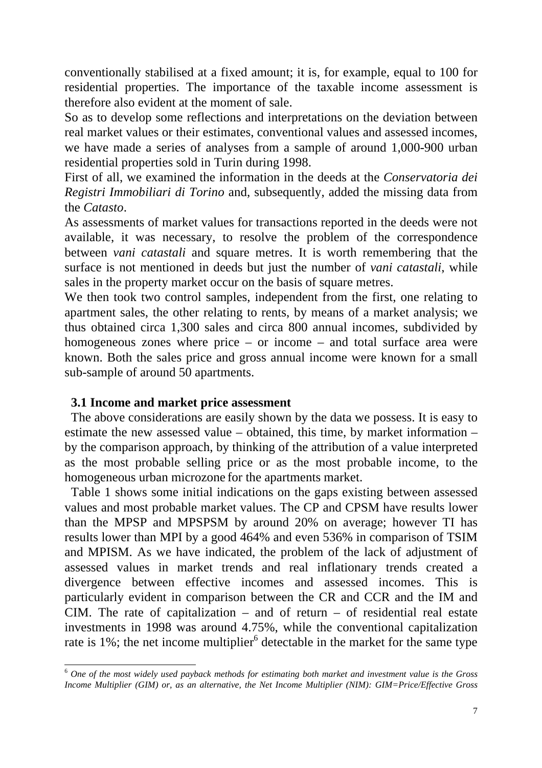conventionally stabilised at a fixed amount; it is, for example, equal to 100 for residential properties. The importance of the taxable income assessment is therefore also evident at the moment of sale.

So as to develop some reflections and interpretations on the deviation between real market values or their estimates, conventional values and assessed incomes, we have made a series of analyses from a sample of around 1,000-900 urban residential properties sold in Turin during 1998.

First of all, we examined the information in the deeds at the *Conservatoria dei Registri Immobiliari di Torino* and, subsequently, added the missing data from the *Catasto*.

As assessments of market values for transactions reported in the deeds were not available, it was necessary, to resolve the problem of the correspondence between *vani catastali* and square metres. It is worth remembering that the surface is not mentioned in deeds but just the number of *vani catastali*, while sales in the property market occur on the basis of square metres.

We then took two control samples, independent from the first, one relating to apartment sales, the other relating to rents, by means of a market analysis; we thus obtained circa 1,300 sales and circa 800 annual incomes, subdivided by homogeneous zones where price – or income – and total surface area were known. Both the sales price and gross annual income were known for a small sub-sample of around 50 apartments.

### **3.1 Income and market price assessment**

l

The above considerations are easily shown by the data we possess. It is easy to estimate the new assessed value *–* obtained, this time, by market information *–* by the comparison approach, by thinking of the attribution of a value interpreted as the most probable selling price or as the most probable income, to the homogeneous urban microzone for the apartments market.

Table 1 shows some initial indications on the gaps existing between assessed values and most probable market values. The CP and CPSM have results lower than the MPSP and MPSPSM by around 20% on average; however TI has results lower than MPI by a good 464% and even 536% in comparison of TSIM and MPISM. As we have indicated, the problem of the lack of adjustment of assessed values in market trends and real inflationary trends created a divergence between effective incomes and assessed incomes. This is particularly evident in comparison between the CR and CCR and the IM and CIM. The rate of capitalization – and of return – of residential real estate investments in 1998 was around 4.75%, while the conventional capitalization rate is 1%; the net income multiplier<sup>6</sup> detectable in the market for the same type

<sup>6</sup> *One of the most widely used payback methods for estimating both market and investment value is the Gross Income Multiplier (GIM) or, as an alternative, the Net Income Multiplier (NIM): GIM=Price/Effective Gross*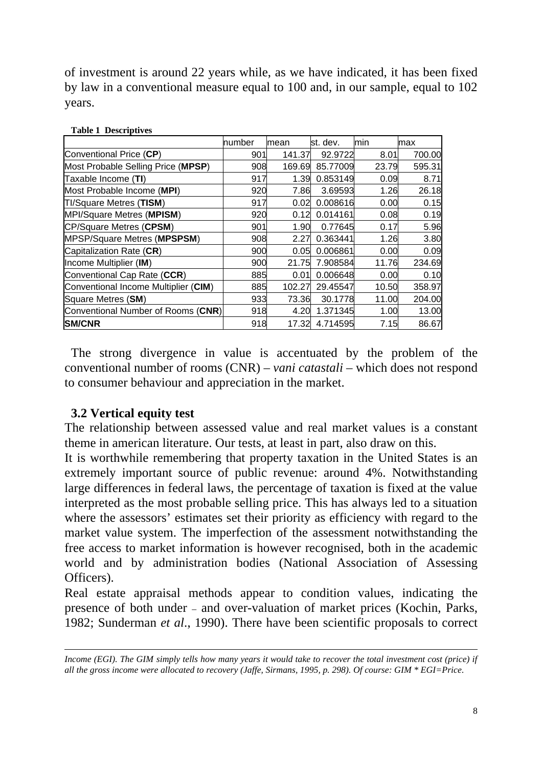of investment is around 22 years while, as we have indicated, it has been fixed by law in a conventional measure equal to 100 and, in our sample, equal to 102 years.

| <b>Table 1 Descriptives</b>          |        |        |          |       |        |  |
|--------------------------------------|--------|--------|----------|-------|--------|--|
|                                      | number | mean   | st. dev. | min   | max    |  |
| Conventional Price (CP)              | 901    | 141.37 | 92.9722  | 8.01  | 700.00 |  |
| Most Probable Selling Price (MPSP)   | 908    | 169.69 | 85.77009 | 23.79 | 595.31 |  |
| Taxable Income (TI)                  | 917    | 1.39   | 0.853149 | 0.09  | 8.71   |  |
| Most Probable Income (MPI)           | 920    | 7.86   | 3.69593  | 1.26  | 26.18  |  |
| <b>TI/Square Metres (TISM)</b>       | 917    | 0.02   | 0.008616 | 0.00  | 0.15   |  |
| MPI/Square Metres (MPISM)            | 920    | 0.12   | 0.014161 | 0.08  | 0.19   |  |
| CP/Square Metres (CPSM)              | 901    | 1.90   | 0.77645  | 0.17  | 5.96   |  |
| <b>MPSP/Square Metres (MPSPSM)</b>   | 908    | 2.27   | 0.363441 | 1.26  | 3.80   |  |
| Capitalization Rate (CR)             | 900    | 0.05   | 0.006861 | 0.00  | 0.09   |  |
| Income Multiplier (IM)               | 900    | 21.75  | 7.908584 | 11.76 | 234.69 |  |
| Conventional Cap Rate (CCR)          | 885    | 0.01   | 0.006648 | 0.00  | 0.10   |  |
| Conventional Income Multiplier (CIM) | 885    | 102.27 | 29.45547 | 10.50 | 358.97 |  |
| Square Metres (SM)                   | 933    | 73.36  | 30.1778  | 11.00 | 204.00 |  |
| Conventional Number of Rooms (CNR)   | 918    | 4.20   | 1.371345 | 1.00  | 13.00  |  |
| <b>SM/CNR</b>                        | 918    | 17.32  | 4.714595 | 7.15  | 86.67  |  |

**Table 1 Descriptives**

The strong divergence in value is accentuated by the problem of the conventional number of rooms (CNR) – *vani catastali* – which does not respond to consumer behaviour and appreciation in the market.

### **3.2 Vertical equity test**

l

The relationship between assessed value and real market values is a constant theme in american literature. Our tests, at least in part, also draw on this.

It is worthwhile remembering that property taxation in the United States is an extremely important source of public revenue: around 4%. Notwithstanding large differences in federal laws, the percentage of taxation is fixed at the value interpreted as the most probable selling price. This has always led to a situation where the assessors' estimates set their priority as efficiency with regard to the market value system. The imperfection of the assessment notwithstanding the free access to market information is however recognised, both in the academic world and by administration bodies (National Association of Assessing Officers).

Real estate appraisal methods appear to condition values, indicating the presence of both under – and over-valuation of market prices (Kochin, Parks, 1982; Sunderman *et al*., 1990). There have been scientific proposals to correct

*Income (EGI). The GIM simply tells how many years it would take to recover the total investment cost (price) if all the gross income were allocated to recovery (Jaffe, Sirmans, 1995, p. 298). Of course: GIM \* EGI=Price*.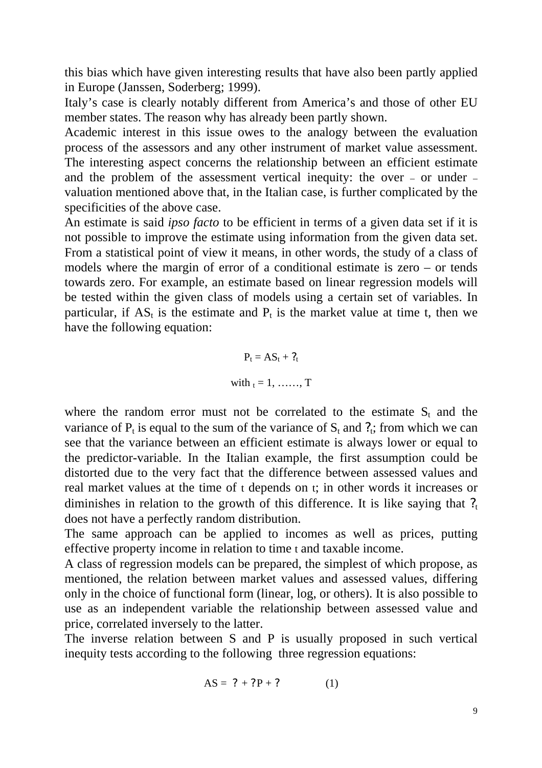this bias which have given interesting results that have also been partly applied in Europe (Janssen, Soderberg; 1999).

Italy's case is clearly notably different from America's and those of other EU member states. The reason why has already been partly shown.

Academic interest in this issue owes to the analogy between the evaluation process of the assessors and any other instrument of market value assessment. The interesting aspect concerns the relationship between an efficient estimate and the problem of the assessment vertical inequity: the over – or under – valuation mentioned above that, in the Italian case, is further complicated by the specificities of the above case.

An estimate is said *ipso facto* to be efficient in terms of a given data set if it is not possible to improve the estimate using information from the given data set. From a statistical point of view it means, in other words, the study of a class of models where the margin of error of a conditional estimate is zero – or tends towards zero. For example, an estimate based on linear regression models will be tested within the given class of models using a certain set of variables. In particular, if  $AS_t$  is the estimate and  $P_t$  is the market value at time t, then we have the following equation:

> $P_t = AS_t + ?_t$ with  $_t = 1, \ldots, T$

where the random error must not be correlated to the estimate  $S_t$  and the variance of  $P_t$  is equal to the sum of the variance of  $S_t$  and  $?_t$ ; from which we can see that the variance between an efficient estimate is always lower or equal to the predictor-variable. In the Italian example, the first assumption could be distorted due to the very fact that the difference between assessed values and real market values at the time of t depends on t; in other words it increases or diminishes in relation to the growth of this difference. It is like saying that  $?$ does not have a perfectly random distribution.

The same approach can be applied to incomes as well as prices, putting effective property income in relation to time t and taxable income.

A class of regression models can be prepared, the simplest of which propose, as mentioned, the relation between market values and assessed values, differing only in the choice of functional form (linear, log, or others). It is also possible to use as an independent variable the relationship between assessed value and price, correlated inversely to the latter.

The inverse relation between S and P is usually proposed in such vertical inequity tests according to the following three regression equations:

$$
AS = ? + ?P + ? \tag{1}
$$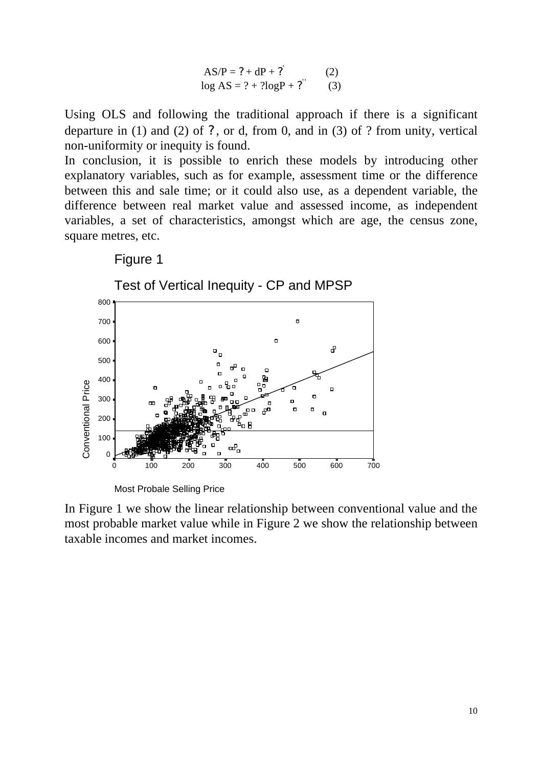$$
AS/P = ? + dP + ?'
$$
 (2)  
log AS = ? + ?logP + ?' (3)

Using OLS and following the traditional approach if there is a significant departure in (1) and (2) of ?, or d, from 0, and in (3) of ? from unity, vertical non-uniformity or inequity is found.

In conclusion, it is possible to enrich these models by introducing other explanatory variables, such as for example, assessment time or the difference between this and sale time; or it could also use, as a dependent variable, the difference between real market value and assessed income, as independent variables, a set of characteristics, amongst which are age, the census zone, square metres, etc.

#### Figure 1



In Figure 1 we show the linear relationship between conventional value and the most probable market value while in Figure 2 we show the relationship between taxable incomes and market incomes.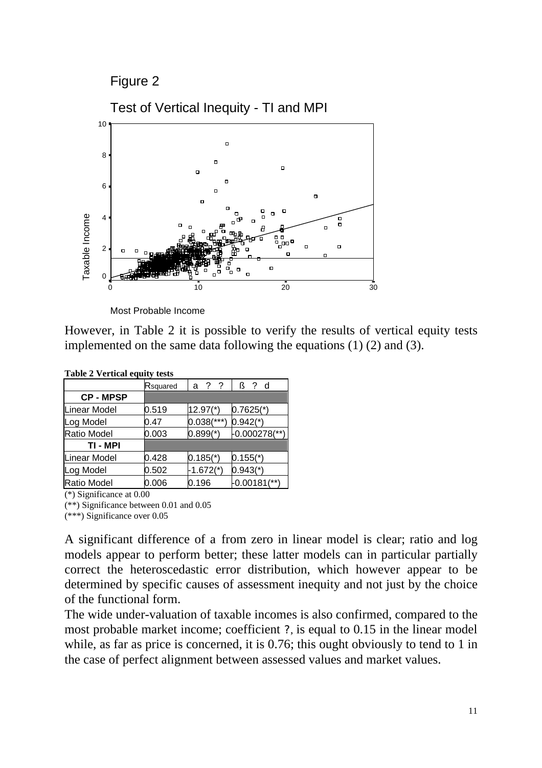Figure 2



Most Probable Income

However, in Table 2 it is possible to verify the results of vertical equity tests implemented on the same data following the equations (1) (2) and (3).

| rabic $\mathbf{r}$ vertical equity tests |          |                        |                             |  |  |  |  |
|------------------------------------------|----------|------------------------|-----------------------------|--|--|--|--|
|                                          | Rsquared | a ? ?                  | $\beta$ ? d                 |  |  |  |  |
| <b>CP-MPSP</b>                           |          |                        |                             |  |  |  |  |
| Linear Model                             | 0.519    | $12.97*$               | $0.7625$ <sup>*</sup> )     |  |  |  |  |
| Log Model                                | 0.47     | $0.038$ (***)          | $0.942$ <sup>*</sup> )      |  |  |  |  |
| <b>Ratio Model</b>                       | 0.003    | $0.899(*)$             | $-0.000278$ <sup>**</sup> ) |  |  |  |  |
| TI - MPI                                 |          |                        |                             |  |  |  |  |
| <b>Linear Model</b>                      | 0.428    | $0.185$ <sup>*</sup> ) | $0.155$ <sup>*</sup> )      |  |  |  |  |
| Log Model                                | 0.502    | $-1.672(*)$            | $0.943$ <sup>*</sup> )      |  |  |  |  |
| <b>Ratio Model</b>                       | 0.006    | 0.196                  | $-0.00181$ <sup>**</sup> )  |  |  |  |  |

**Table 2 Vertical equity tests**

(\*) Significance at 0.00

(\*\*) Significance between 0.01 and 0.05

(\*\*\*) Significance over 0.05

A significant difference of a from zero in linear model is clear; ratio and log models appear to perform better; these latter models can in particular partially correct the heteroscedastic error distribution, which however appear to be determined by specific causes of assessment inequity and not just by the choice of the functional form.

The wide under-valuation of taxable incomes is also confirmed, compared to the most probable market income; coefficient ?, is equal to 0.15 in the linear model while, as far as price is concerned, it is 0.76; this ought obviously to tend to 1 in the case of perfect alignment between assessed values and market values.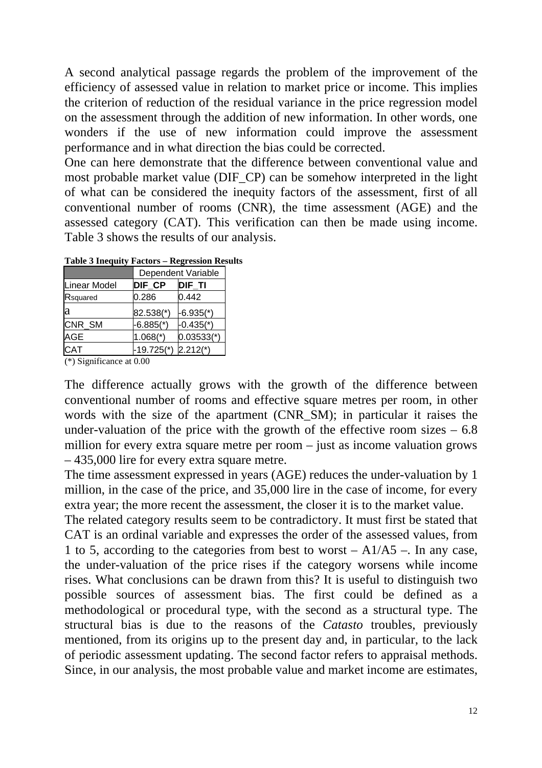A second analytical passage regards the problem of the improvement of the efficiency of assessed value in relation to market price or income. This implies the criterion of reduction of the residual variance in the price regression model on the assessment through the addition of new information. In other words, one wonders if the use of new information could improve the assessment performance and in what direction the bias could be corrected.

One can here demonstrate that the difference between conventional value and most probable market value (DIF\_CP) can be somehow interpreted in the light of what can be considered the inequity factors of the assessment, first of all conventional number of rooms (CNR), the time assessment (AGE) and the assessed category (CAT). This verification can then be made using income. Table 3 shows the results of our analysis.

|                     | Dependent Variable |              |  |  |  |
|---------------------|--------------------|--------------|--|--|--|
| <b>Linear Model</b> | <b>DIF CP</b>      | DIF TI       |  |  |  |
| Rsquared            | 0.286              | 0.442        |  |  |  |
| la                  | 82.538(*)          | $-6.935(*)$  |  |  |  |
| CNR_SM              | $-6.885(*)$        | $-0.435(*)$  |  |  |  |
| <b>AGE</b>          | $1.068$ (*)        | $0.03533(*)$ |  |  |  |
| <b>CAT</b>          | $-19.725(*)$       | $2.212(*)$   |  |  |  |

**Table 3 Inequity Factors – Regression Results**

(\*) Significance at 0.00

The difference actually grows with the growth of the difference between conventional number of rooms and effective square metres per room, in other words with the size of the apartment (CNR SM); in particular it raises the under-valuation of the price with the growth of the effective room sizes  $-6.8$ million for every extra square metre per room – just as income valuation grows – 435,000 lire for every extra square metre.

The time assessment expressed in years (AGE) reduces the under-valuation by 1 million, in the case of the price, and 35,000 lire in the case of income, for every extra year; the more recent the assessment, the closer it is to the market value.

The related category results seem to be contradictory. It must first be stated that CAT is an ordinal variable and expresses the order of the assessed values, from 1 to 5, according to the categories from best to worst – A1/A5 –. In any case, the under-valuation of the price rises if the category worsens while income rises. What conclusions can be drawn from this? It is useful to distinguish two possible sources of assessment bias. The first could be defined as a methodological or procedural type, with the second as a structural type. The structural bias is due to the reasons of the *Catasto* troubles, previously mentioned, from its origins up to the present day and, in particular, to the lack of periodic assessment updating. The second factor refers to appraisal methods. Since, in our analysis, the most probable value and market income are estimates,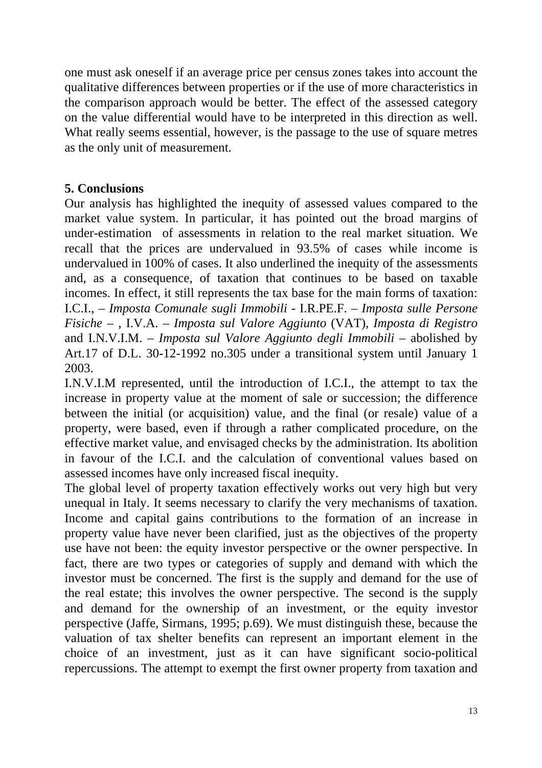one must ask oneself if an average price per census zones takes into account the qualitative differences between properties or if the use of more characteristics in the comparison approach would be better. The effect of the assessed category on the value differential would have to be interpreted in this direction as well. What really seems essential, however, is the passage to the use of square metres as the only unit of measurement.

## **5. Conclusions**

Our analysis has highlighted the inequity of assessed values compared to the market value system. In particular, it has pointed out the broad margins of under-estimation of assessments in relation to the real market situation. We recall that the prices are undervalued in 93.5% of cases while income is undervalued in 100% of cases. It also underlined the inequity of the assessments and, as a consequence, of taxation that continues to be based on taxable incomes. In effect, it still represents the tax base for the main forms of taxation: I.C.I., – *Imposta Comunale sugli Immobili* - I.R.PE.F. – *Imposta sulle Persone Fisiche* – , I.V.A. – *Imposta sul Valore Aggiunto* (VAT), *Imposta di Registro* and I.N.V.I.M. – *Imposta sul Valore Aggiunto degli Immobili* – abolished by Art.17 of D.L. 30-12-1992 no.305 under a transitional system until January 1 2003.

I.N.V.I.M represented, until the introduction of I.C.I., the attempt to tax the increase in property value at the moment of sale or succession; the difference between the initial (or acquisition) value, and the final (or resale) value of a property, were based, even if through a rather complicated procedure, on the effective market value, and envisaged checks by the administration. Its abolition in favour of the I.C.I. and the calculation of conventional values based on assessed incomes have only increased fiscal inequity.

The global level of property taxation effectively works out very high but very unequal in Italy. It seems necessary to clarify the very mechanisms of taxation. Income and capital gains contributions to the formation of an increase in property value have never been clarified, just as the objectives of the property use have not been: the equity investor perspective or the owner perspective. In fact, there are two types or categories of supply and demand with which the investor must be concerned. The first is the supply and demand for the use of the real estate; this involves the owner perspective. The second is the supply and demand for the ownership of an investment, or the equity investor perspective (Jaffe, Sirmans, 1995; p.69). We must distinguish these, because the valuation of tax shelter benefits can represent an important element in the choice of an investment, just as it can have significant socio-political repercussions. The attempt to exempt the first owner property from taxation and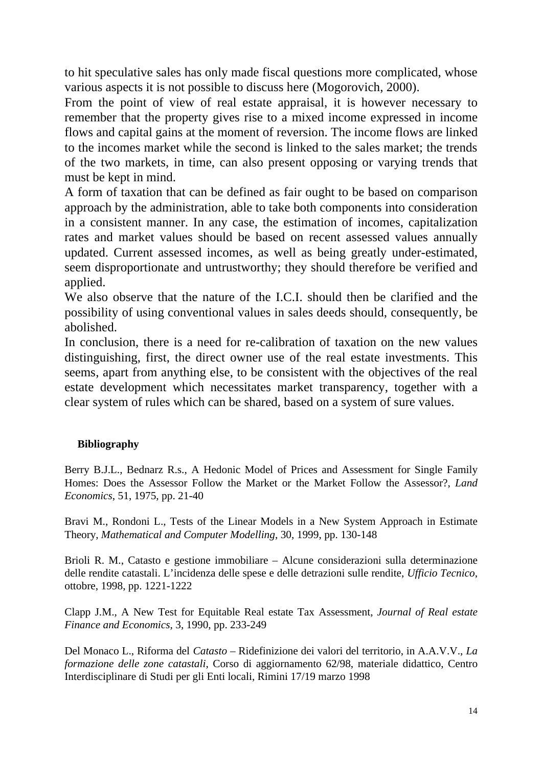to hit speculative sales has only made fiscal questions more complicated, whose various aspects it is not possible to discuss here (Mogorovich, 2000).

From the point of view of real estate appraisal, it is however necessary to remember that the property gives rise to a mixed income expressed in income flows and capital gains at the moment of reversion. The income flows are linked to the incomes market while the second is linked to the sales market; the trends of the two markets, in time, can also present opposing or varying trends that must be kept in mind.

A form of taxation that can be defined as fair ought to be based on comparison approach by the administration, able to take both components into consideration in a consistent manner. In any case, the estimation of incomes, capitalization rates and market values should be based on recent assessed values annually updated. Current assessed incomes, as well as being greatly under-estimated, seem disproportionate and untrustworthy; they should therefore be verified and applied.

We also observe that the nature of the I.C.I. should then be clarified and the possibility of using conventional values in sales deeds should, consequently, be abolished.

In conclusion, there is a need for re-calibration of taxation on the new values distinguishing, first, the direct owner use of the real estate investments. This seems, apart from anything else, to be consistent with the objectives of the real estate development which necessitates market transparency, together with a clear system of rules which can be shared, based on a system of sure values.

#### **Bibliography**

Berry B.J.L., Bednarz R.s., A Hedonic Model of Prices and Assessment for Single Family Homes: Does the Assessor Follow the Market or the Market Follow the Assessor?, *Land Economics*, 51, 1975, pp. 21-40

Bravi M., Rondoni L., Tests of the Linear Models in a New System Approach in Estimate Theory, *Mathematical and Computer Modelling*, 30, 1999, pp. 130-148

Brioli R. M., Catasto e gestione immobiliare – Alcune considerazioni sulla determinazione delle rendite catastali. L'incidenza delle spese e delle detrazioni sulle rendite, *Ufficio Tecnico*, ottobre, 1998, pp. 1221-1222

Clapp J.M., A New Test for Equitable Real estate Tax Assessment, *Journal of Real estate Finance and Economics*, 3, 1990, pp. 233-249

Del Monaco L., Riforma del *Catasto* – Ridefinizione dei valori del territorio, in A.A.V.V., *La formazione delle zone catastali*, Corso di aggiornamento 62/98, materiale didattico, Centro Interdisciplinare di Studi per gli Enti locali, Rimini 17/19 marzo 1998